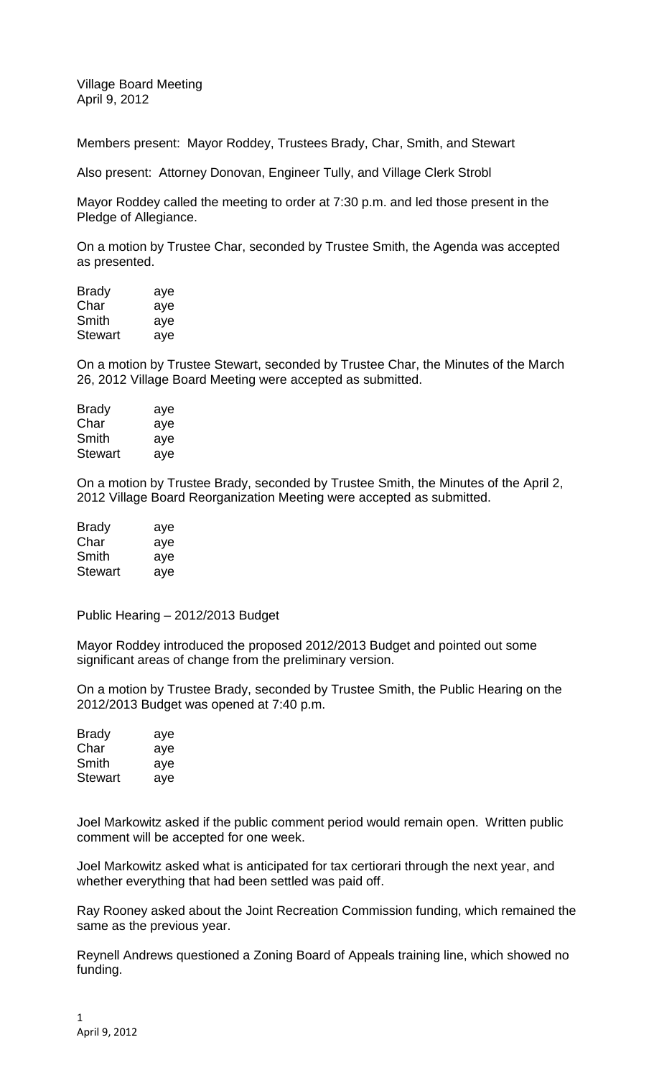Village Board Meeting April 9, 2012

Members present: Mayor Roddey, Trustees Brady, Char, Smith, and Stewart

Also present: Attorney Donovan, Engineer Tully, and Village Clerk Strobl

Mayor Roddey called the meeting to order at 7:30 p.m. and led those present in the Pledge of Allegiance.

On a motion by Trustee Char, seconded by Trustee Smith, the Agenda was accepted as presented.

| <b>Brady</b>   | aye |
|----------------|-----|
| Char           | aye |
| Smith          | aye |
| <b>Stewart</b> | aye |

On a motion by Trustee Stewart, seconded by Trustee Char, the Minutes of the March 26, 2012 Village Board Meeting were accepted as submitted.

| <b>Brady</b> | aye |
|--------------|-----|
| Char         | aye |
| Smith        | aye |
| Stewart      | aye |

On a motion by Trustee Brady, seconded by Trustee Smith, the Minutes of the April 2, 2012 Village Board Reorganization Meeting were accepted as submitted.

| <b>Brady</b> | aye |
|--------------|-----|
| Char         | aye |
| Smith        | aye |
| Stewart      | aye |

Public Hearing – 2012/2013 Budget

Mayor Roddey introduced the proposed 2012/2013 Budget and pointed out some significant areas of change from the preliminary version.

On a motion by Trustee Brady, seconded by Trustee Smith, the Public Hearing on the 2012/2013 Budget was opened at 7:40 p.m.

| aye |
|-----|
| aye |
| aye |
| aye |
|     |

Joel Markowitz asked if the public comment period would remain open. Written public comment will be accepted for one week.

Joel Markowitz asked what is anticipated for tax certiorari through the next year, and whether everything that had been settled was paid off.

Ray Rooney asked about the Joint Recreation Commission funding, which remained the same as the previous year.

Reynell Andrews questioned a Zoning Board of Appeals training line, which showed no funding.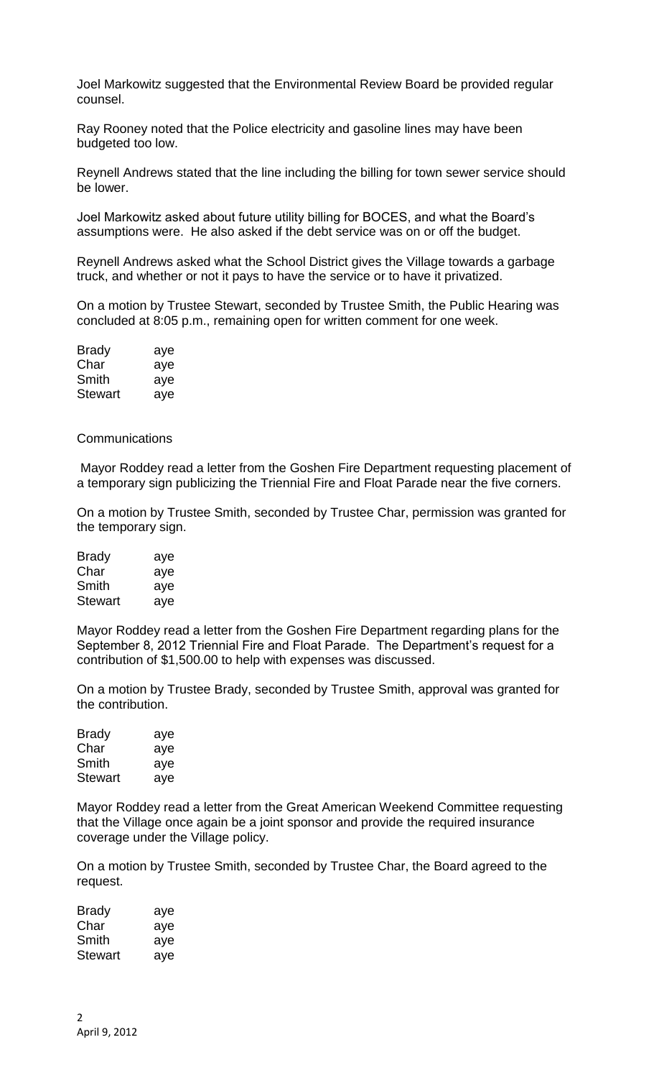Joel Markowitz suggested that the Environmental Review Board be provided regular counsel.

Ray Rooney noted that the Police electricity and gasoline lines may have been budgeted too low.

Reynell Andrews stated that the line including the billing for town sewer service should be lower.

Joel Markowitz asked about future utility billing for BOCES, and what the Board's assumptions were. He also asked if the debt service was on or off the budget.

Reynell Andrews asked what the School District gives the Village towards a garbage truck, and whether or not it pays to have the service or to have it privatized.

On a motion by Trustee Stewart, seconded by Trustee Smith, the Public Hearing was concluded at 8:05 p.m., remaining open for written comment for one week.

| <b>Brady</b>   | aye |
|----------------|-----|
| Char           | aye |
| Smith          | aye |
| <b>Stewart</b> | aye |

### **Communications**

Mayor Roddey read a letter from the Goshen Fire Department requesting placement of a temporary sign publicizing the Triennial Fire and Float Parade near the five corners.

On a motion by Trustee Smith, seconded by Trustee Char, permission was granted for the temporary sign.

| <b>Brady</b>   | aye |
|----------------|-----|
| Char           | aye |
| Smith          | aye |
| <b>Stewart</b> | aye |

Mayor Roddey read a letter from the Goshen Fire Department regarding plans for the September 8, 2012 Triennial Fire and Float Parade. The Department's request for a contribution of \$1,500.00 to help with expenses was discussed.

On a motion by Trustee Brady, seconded by Trustee Smith, approval was granted for the contribution.

| <b>Brady</b> | aye |
|--------------|-----|
| Char         | aye |
| Smith        | aye |
| Stewart      | ave |

Mayor Roddey read a letter from the Great American Weekend Committee requesting that the Village once again be a joint sponsor and provide the required insurance coverage under the Village policy.

On a motion by Trustee Smith, seconded by Trustee Char, the Board agreed to the request.

| Brady   | aye |
|---------|-----|
| Char    | aye |
| Smith   | aye |
| Stewart | aye |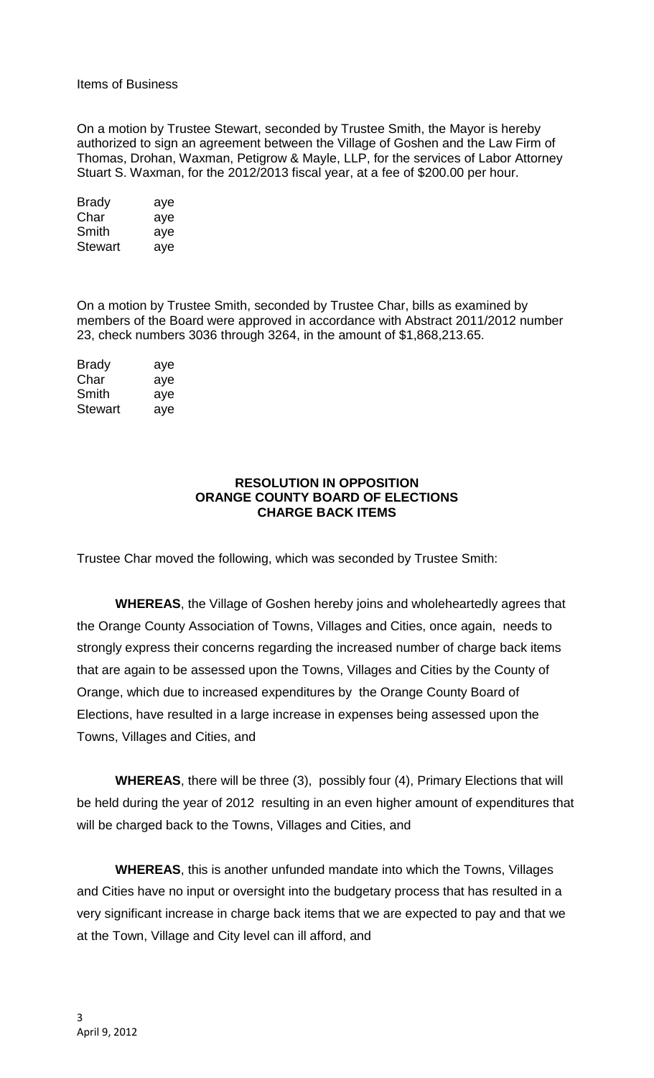# Items of Business

On a motion by Trustee Stewart, seconded by Trustee Smith, the Mayor is hereby authorized to sign an agreement between the Village of Goshen and the Law Firm of Thomas, Drohan, Waxman, Petigrow & Mayle, LLP, for the services of Labor Attorney Stuart S. Waxman, for the 2012/2013 fiscal year, at a fee of \$200.00 per hour.

| Brady   | aye |
|---------|-----|
| Char    | aye |
| Smith   | aye |
| Stewart | aye |

On a motion by Trustee Smith, seconded by Trustee Char, bills as examined by members of the Board were approved in accordance with Abstract 2011/2012 number 23, check numbers 3036 through 3264, in the amount of \$1,868,213.65.

| aye |
|-----|
| aye |
| aye |
| aye |
|     |

# **RESOLUTION IN OPPOSITION ORANGE COUNTY BOARD OF ELECTIONS CHARGE BACK ITEMS**

Trustee Char moved the following, which was seconded by Trustee Smith:

**WHEREAS**, the Village of Goshen hereby joins and wholeheartedly agrees that the Orange County Association of Towns, Villages and Cities, once again, needs to strongly express their concerns regarding the increased number of charge back items that are again to be assessed upon the Towns, Villages and Cities by the County of Orange, which due to increased expenditures by the Orange County Board of Elections, have resulted in a large increase in expenses being assessed upon the Towns, Villages and Cities, and

**WHEREAS**, there will be three (3), possibly four (4), Primary Elections that will be held during the year of 2012 resulting in an even higher amount of expenditures that will be charged back to the Towns, Villages and Cities, and

**WHEREAS**, this is another unfunded mandate into which the Towns, Villages and Cities have no input or oversight into the budgetary process that has resulted in a very significant increase in charge back items that we are expected to pay and that we at the Town, Village and City level can ill afford, and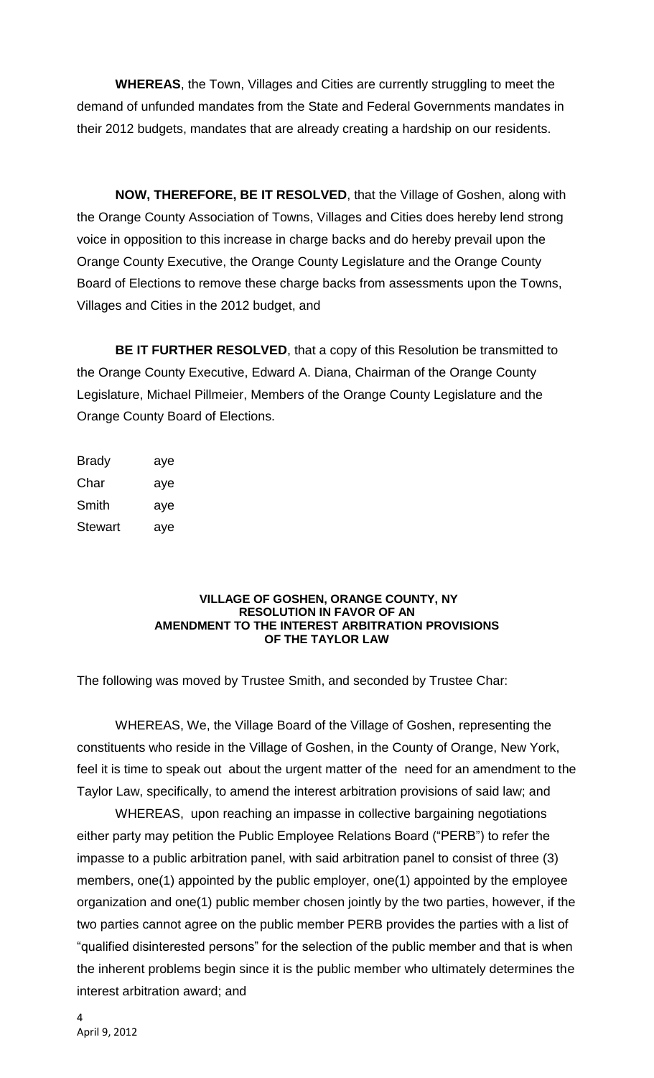**WHEREAS**, the Town, Villages and Cities are currently struggling to meet the demand of unfunded mandates from the State and Federal Governments mandates in their 2012 budgets, mandates that are already creating a hardship on our residents.

**NOW, THEREFORE, BE IT RESOLVED**, that the Village of Goshen, along with the Orange County Association of Towns, Villages and Cities does hereby lend strong voice in opposition to this increase in charge backs and do hereby prevail upon the Orange County Executive, the Orange County Legislature and the Orange County Board of Elections to remove these charge backs from assessments upon the Towns, Villages and Cities in the 2012 budget, and

**BE IT FURTHER RESOLVED**, that a copy of this Resolution be transmitted to the Orange County Executive, Edward A. Diana, Chairman of the Orange County Legislature, Michael Pillmeier, Members of the Orange County Legislature and the Orange County Board of Elections.

| Brady   | aye |
|---------|-----|
| Char    | aye |
| Smith   | aye |
| Stewart | aye |

#### **VILLAGE OF GOSHEN, ORANGE COUNTY, NY RESOLUTION IN FAVOR OF AN AMENDMENT TO THE INTEREST ARBITRATION PROVISIONS OF THE TAYLOR LAW**

The following was moved by Trustee Smith, and seconded by Trustee Char:

WHEREAS, We, the Village Board of the Village of Goshen, representing the constituents who reside in the Village of Goshen, in the County of Orange, New York, feel it is time to speak out about the urgent matter of the need for an amendment to the Taylor Law, specifically, to amend the interest arbitration provisions of said law; and

WHEREAS, upon reaching an impasse in collective bargaining negotiations either party may petition the Public Employee Relations Board ("PERB") to refer the impasse to a public arbitration panel, with said arbitration panel to consist of three (3) members, one(1) appointed by the public employer, one(1) appointed by the employee organization and one(1) public member chosen jointly by the two parties, however, if the two parties cannot agree on the public member PERB provides the parties with a list of "qualified disinterested persons" for the selection of the public member and that is when the inherent problems begin since it is the public member who ultimately determines the interest arbitration award; and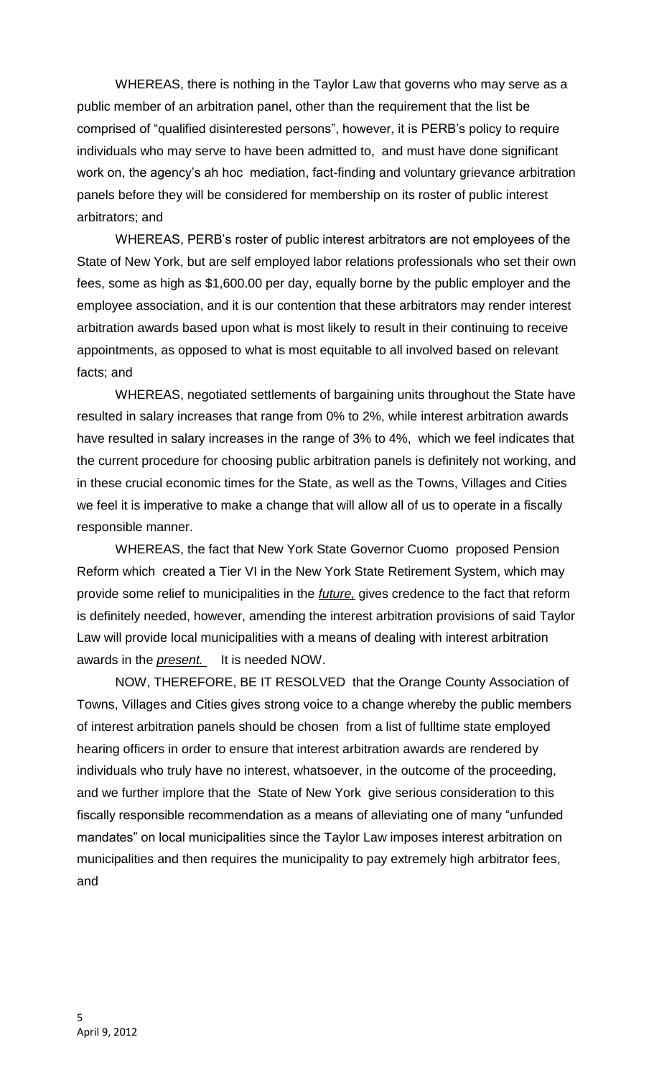WHEREAS, there is nothing in the Taylor Law that governs who may serve as a public member of an arbitration panel, other than the requirement that the list be comprised of "qualified disinterested persons", however, it is PERB's policy to require individuals who may serve to have been admitted to, and must have done significant work on, the agency's ah hoc mediation, fact-finding and voluntary grievance arbitration panels before they will be considered for membership on its roster of public interest arbitrators; and

WHEREAS, PERB's roster of public interest arbitrators are not employees of the State of New York, but are self employed labor relations professionals who set their own fees, some as high as \$1,600.00 per day, equally borne by the public employer and the employee association, and it is our contention that these arbitrators may render interest arbitration awards based upon what is most likely to result in their continuing to receive appointments, as opposed to what is most equitable to all involved based on relevant facts; and

WHEREAS, negotiated settlements of bargaining units throughout the State have resulted in salary increases that range from 0% to 2%, while interest arbitration awards have resulted in salary increases in the range of 3% to 4%, which we feel indicates that the current procedure for choosing public arbitration panels is definitely not working, and in these crucial economic times for the State, as well as the Towns, Villages and Cities we feel it is imperative to make a change that will allow all of us to operate in a fiscally responsible manner.

WHEREAS, the fact that New York State Governor Cuomo proposed Pension Reform which created a Tier VI in the New York State Retirement System, which may provide some relief to municipalities in the *future,* gives credence to the fact that reform is definitely needed, however, amending the interest arbitration provisions of said Taylor Law will provide local municipalities with a means of dealing with interest arbitration awards in the *present.* It is needed NOW.

NOW, THEREFORE, BE IT RESOLVED that the Orange County Association of Towns, Villages and Cities gives strong voice to a change whereby the public members of interest arbitration panels should be chosen from a list of fulltime state employed hearing officers in order to ensure that interest arbitration awards are rendered by individuals who truly have no interest, whatsoever, in the outcome of the proceeding, and we further implore that the State of New York give serious consideration to this fiscally responsible recommendation as a means of alleviating one of many "unfunded mandates" on local municipalities since the Taylor Law imposes interest arbitration on municipalities and then requires the municipality to pay extremely high arbitrator fees, and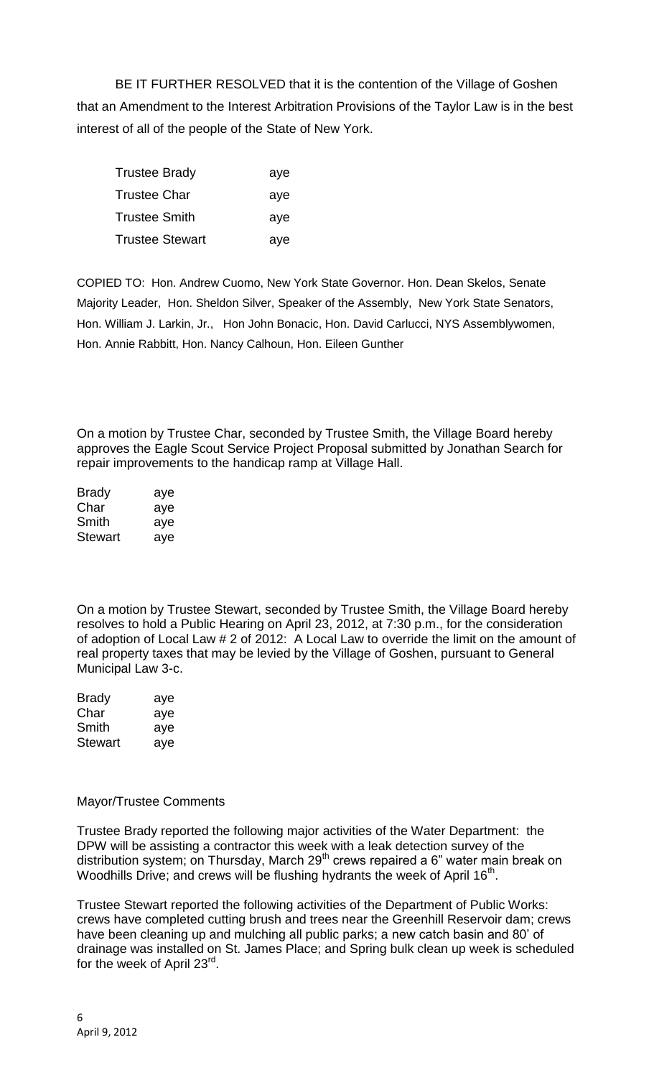BE IT FURTHER RESOLVED that it is the contention of the Village of Goshen that an Amendment to the Interest Arbitration Provisions of the Taylor Law is in the best interest of all of the people of the State of New York.

| Trustee Brady          | aye |
|------------------------|-----|
| Trustee Char           | aye |
| Trustee Smith          | aye |
| <b>Trustee Stewart</b> | aye |

COPIED TO: Hon. Andrew Cuomo, New York State Governor. Hon. Dean Skelos, Senate Majority Leader, Hon. Sheldon Silver, Speaker of the Assembly, New York State Senators, Hon. William J. Larkin, Jr., Hon John Bonacic, Hon. David Carlucci, NYS Assemblywomen, Hon. Annie Rabbitt, Hon. Nancy Calhoun, Hon. Eileen Gunther

On a motion by Trustee Char, seconded by Trustee Smith, the Village Board hereby approves the Eagle Scout Service Project Proposal submitted by Jonathan Search for repair improvements to the handicap ramp at Village Hall.

| <b>Brady</b> | aye |
|--------------|-----|
| Char         | aye |
| Smith        | aye |
| Stewart      | aye |

On a motion by Trustee Stewart, seconded by Trustee Smith, the Village Board hereby resolves to hold a Public Hearing on April 23, 2012, at 7:30 p.m., for the consideration of adoption of Local Law # 2 of 2012: A Local Law to override the limit on the amount of real property taxes that may be levied by the Village of Goshen, pursuant to General Municipal Law 3-c.

| <b>Brady</b>   | aye |
|----------------|-----|
| Char           | aye |
| Smith          | aye |
| <b>Stewart</b> | aye |

# Mayor/Trustee Comments

Trustee Brady reported the following major activities of the Water Department: the DPW will be assisting a contractor this week with a leak detection survey of the distribution system; on Thursday, March 29<sup>th</sup> crews repaired a 6" water main break on Woodhills Drive; and crews will be flushing hydrants the week of April 16<sup>th</sup>.

Trustee Stewart reported the following activities of the Department of Public Works: crews have completed cutting brush and trees near the Greenhill Reservoir dam; crews have been cleaning up and mulching all public parks; a new catch basin and 80' of drainage was installed on St. James Place; and Spring bulk clean up week is scheduled for the week of April 23<sup>rd</sup>.